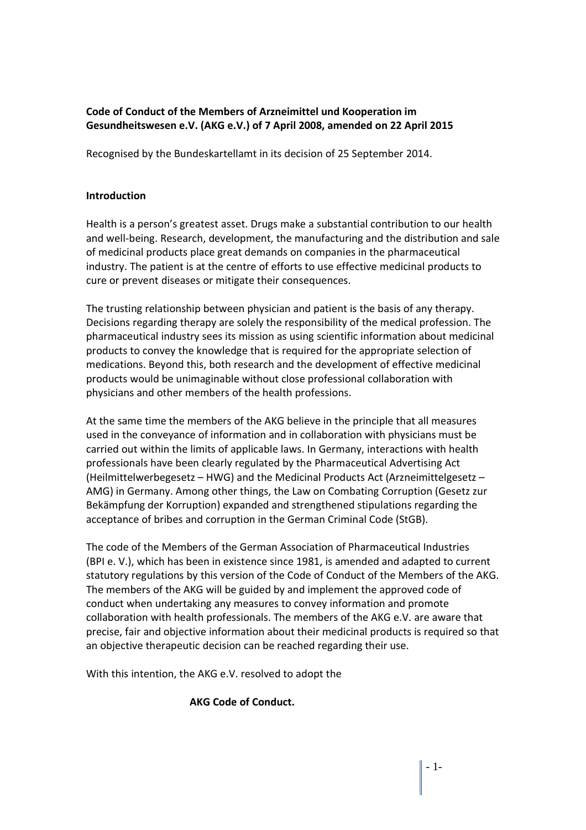## **Code of Conduct of the Members of Arzneimittel und Kooperation im Gesundheitswesen e.V. (AKG e.V.) of 7 April 2008, amended on 22 April 2015**

Recognised by the Bundeskartellamt in its decision of 25 September 2014.

#### **Introduction**

Health is a person's greatest asset. Drugs make a substantial contribution to our health and well-being. Research, development, the manufacturing and the distribution and sale of medicinal products place great demands on companies in the pharmaceutical industry. The patient is at the centre of efforts to use effective medicinal products to cure or prevent diseases or mitigate their consequences.

The trusting relationship between physician and patient is the basis of any therapy. Decisions regarding therapy are solely the responsibility of the medical profession. The pharmaceutical industry sees its mission as using scientific information about medicinal products to convey the knowledge that is required for the appropriate selection of medications. Beyond this, both research and the development of effective medicinal products would be unimaginable without close professional collaboration with physicians and other members of the health professions.

At the same time the members of the AKG believe in the principle that all measures used in the conveyance of information and in collaboration with physicians must be carried out within the limits of applicable laws. In Germany, interactions with health professionals have been clearly regulated by the Pharmaceutical Advertising Act (Heilmittelwerbegesetz – HWG) and the Medicinal Products Act (Arzneimittelgesetz – AMG) in Germany. Among other things, the Law on Combating Corruption (Gesetz zur Bekämpfung der Korruption) expanded and strengthened stipulations regarding the acceptance of bribes and corruption in the German Criminal Code (StGB).

The code of the Members of the German Association of Pharmaceutical Industries (BPI e. V.), which has been in existence since 1981, is amended and adapted to current statutory regulations by this version of the Code of Conduct of the Members of the AKG. The members of the AKG will be guided by and implement the approved code of conduct when undertaking any measures to convey information and promote collaboration with health professionals. The members of the AKG e.V. are aware that precise, fair and objective information about their medicinal products is required so that an objective therapeutic decision can be reached regarding their use.

With this intention, the AKG e.V. resolved to adopt the

## **AKG Code of Conduct.**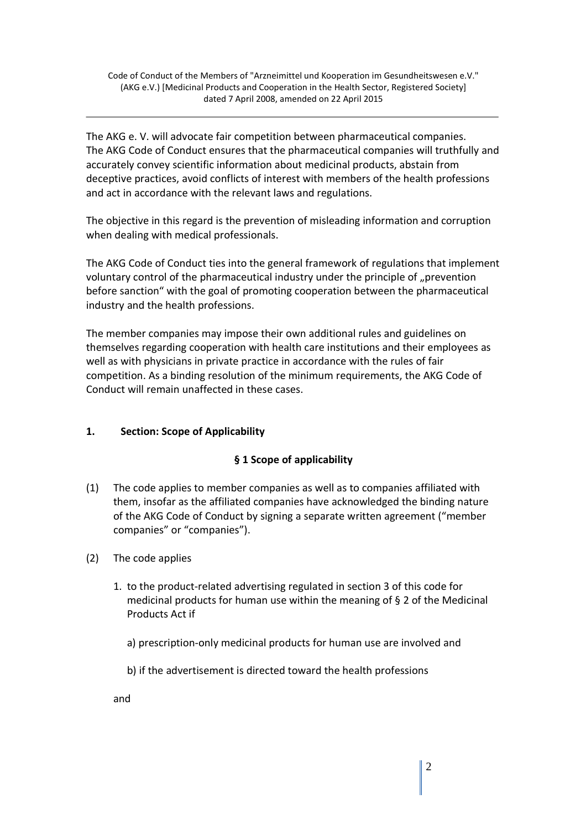The AKG e. V. will advocate fair competition between pharmaceutical companies. The AKG Code of Conduct ensures that the pharmaceutical companies will truthfully and accurately convey scientific information about medicinal products, abstain from deceptive practices, avoid conflicts of interest with members of the health professions and act in accordance with the relevant laws and regulations.

The objective in this regard is the prevention of misleading information and corruption when dealing with medical professionals.

The AKG Code of Conduct ties into the general framework of regulations that implement voluntary control of the pharmaceutical industry under the principle of "prevention before sanction" with the goal of promoting cooperation between the pharmaceutical industry and the health professions.

The member companies may impose their own additional rules and guidelines on themselves regarding cooperation with health care institutions and their employees as well as with physicians in private practice in accordance with the rules of fair competition. As a binding resolution of the minimum requirements, the AKG Code of Conduct will remain unaffected in these cases.

# **1. Section: Scope of Applicability**

## **§ 1 Scope of applicability**

- (1) The code applies to member companies as well as to companies affiliated with them, insofar as the affiliated companies have acknowledged the binding nature of the AKG Code of Conduct by signing a separate written agreement ("member companies" or "companies").
- (2) The code applies
	- 1. to the product-related advertising regulated in section 3 of this code for medicinal products for human use within the meaning of § 2 of the Medicinal Products Act if
		- a) prescription-only medicinal products for human use are involved and
		- b) if the advertisement is directed toward the health professions

and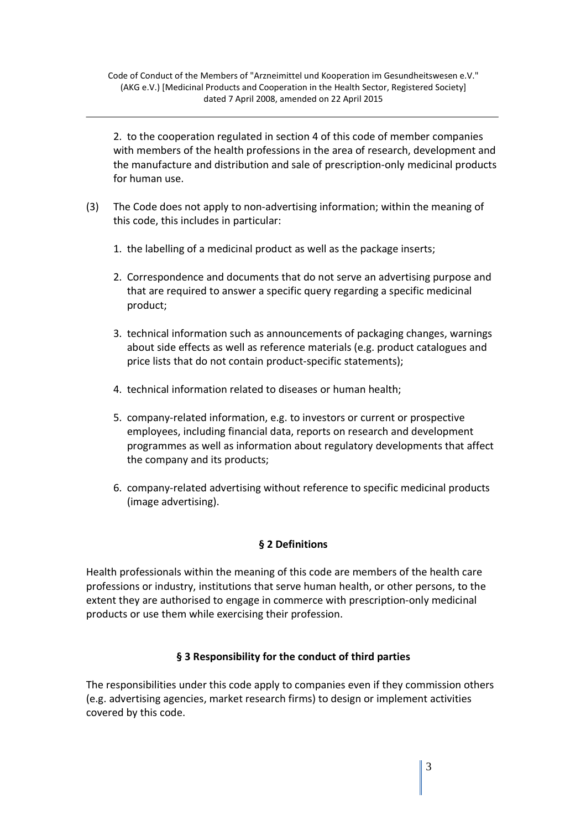2. to the cooperation regulated in section 4 of this code of member companies with members of the health professions in the area of research, development and the manufacture and distribution and sale of prescription-only medicinal products for human use.

- (3) The Code does not apply to non-advertising information; within the meaning of this code, this includes in particular:
	- 1. the labelling of a medicinal product as well as the package inserts;
	- 2. Correspondence and documents that do not serve an advertising purpose and that are required to answer a specific query regarding a specific medicinal product;
	- 3. technical information such as announcements of packaging changes, warnings about side effects as well as reference materials (e.g. product catalogues and price lists that do not contain product-specific statements);
	- 4. technical information related to diseases or human health;
	- 5. company-related information, e.g. to investors or current or prospective employees, including financial data, reports on research and development programmes as well as information about regulatory developments that affect the company and its products;
	- 6. company-related advertising without reference to specific medicinal products (image advertising).

## **§ 2 Definitions**

Health professionals within the meaning of this code are members of the health care professions or industry, institutions that serve human health, or other persons, to the extent they are authorised to engage in commerce with prescription-only medicinal products or use them while exercising their profession.

## **§ 3 Responsibility for the conduct of third parties**

The responsibilities under this code apply to companies even if they commission others (e.g. advertising agencies, market research firms) to design or implement activities covered by this code.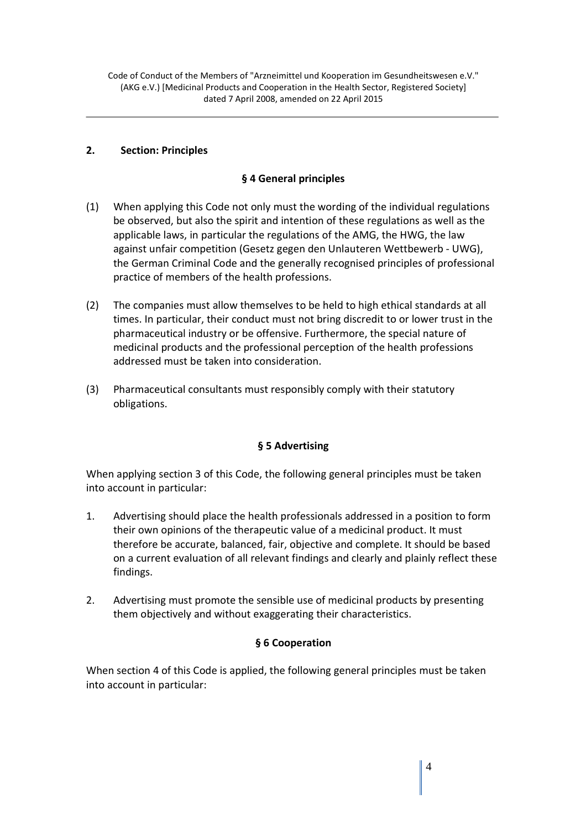#### **2. Section: Principles**

### **§ 4 General principles**

- (1) When applying this Code not only must the wording of the individual regulations be observed, but also the spirit and intention of these regulations as well as the applicable laws, in particular the regulations of the AMG, the HWG, the law against unfair competition (Gesetz gegen den Unlauteren Wettbewerb - UWG), the German Criminal Code and the generally recognised principles of professional practice of members of the health professions.
- (2) The companies must allow themselves to be held to high ethical standards at all times. In particular, their conduct must not bring discredit to or lower trust in the pharmaceutical industry or be offensive. Furthermore, the special nature of medicinal products and the professional perception of the health professions addressed must be taken into consideration.
- (3) Pharmaceutical consultants must responsibly comply with their statutory obligations.

## **§ 5 Advertising**

When applying section 3 of this Code, the following general principles must be taken into account in particular:

- 1. Advertising should place the health professionals addressed in a position to form their own opinions of the therapeutic value of a medicinal product. It must therefore be accurate, balanced, fair, objective and complete. It should be based on a current evaluation of all relevant findings and clearly and plainly reflect these findings.
- 2. Advertising must promote the sensible use of medicinal products by presenting them objectively and without exaggerating their characteristics.

## **§ 6 Cooperation**

When section 4 of this Code is applied, the following general principles must be taken into account in particular: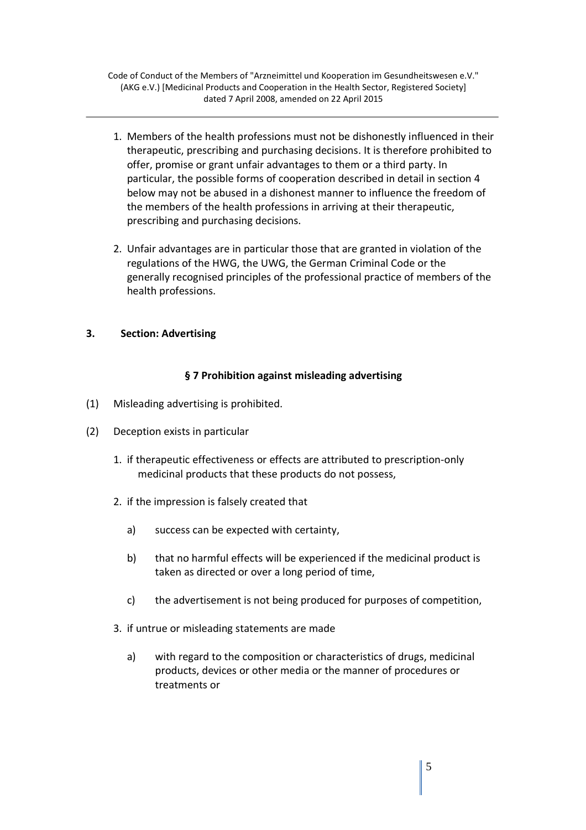- 1. Members of the health professions must not be dishonestly influenced in their therapeutic, prescribing and purchasing decisions. It is therefore prohibited to offer, promise or grant unfair advantages to them or a third party. In particular, the possible forms of cooperation described in detail in section 4 below may not be abused in a dishonest manner to influence the freedom of the members of the health professions in arriving at their therapeutic, prescribing and purchasing decisions.
- 2. Unfair advantages are in particular those that are granted in violation of the regulations of the HWG, the UWG, the German Criminal Code or the generally recognised principles of the professional practice of members of the health professions.

#### **3. Section: Advertising**

#### **§ 7 Prohibition against misleading advertising**

- (1) Misleading advertising is prohibited.
- (2) Deception exists in particular
	- 1. if therapeutic effectiveness or effects are attributed to prescription-only medicinal products that these products do not possess,
	- 2. if the impression is falsely created that
		- a) success can be expected with certainty,
		- b) that no harmful effects will be experienced if the medicinal product is taken as directed or over a long period of time,
		- c) the advertisement is not being produced for purposes of competition,
	- 3. if untrue or misleading statements are made
		- a) with regard to the composition or characteristics of drugs, medicinal products, devices or other media or the manner of procedures or treatments or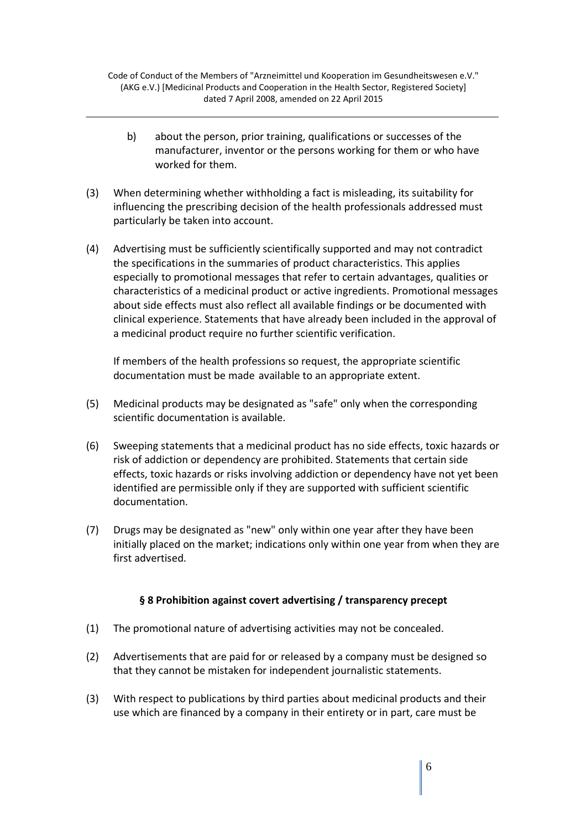- b) about the person, prior training, qualifications or successes of the manufacturer, inventor or the persons working for them or who have worked for them.
- (3) When determining whether withholding a fact is misleading, its suitability for influencing the prescribing decision of the health professionals addressed must particularly be taken into account.
- (4) Advertising must be sufficiently scientifically supported and may not contradict the specifications in the summaries of product characteristics. This applies especially to promotional messages that refer to certain advantages, qualities or characteristics of a medicinal product or active ingredients. Promotional messages about side effects must also reflect all available findings or be documented with clinical experience. Statements that have already been included in the approval of a medicinal product require no further scientific verification.

 If members of the health professions so request, the appropriate scientific documentation must be made available to an appropriate extent.

- (5) Medicinal products may be designated as "safe" only when the corresponding scientific documentation is available.
- (6) Sweeping statements that a medicinal product has no side effects, toxic hazards or risk of addiction or dependency are prohibited. Statements that certain side effects, toxic hazards or risks involving addiction or dependency have not yet been identified are permissible only if they are supported with sufficient scientific documentation.
- (7) Drugs may be designated as "new" only within one year after they have been initially placed on the market; indications only within one year from when they are first advertised.

#### **§ 8 Prohibition against covert advertising / transparency precept**

- (1) The promotional nature of advertising activities may not be concealed.
- (2) Advertisements that are paid for or released by a company must be designed so that they cannot be mistaken for independent journalistic statements.
- (3) With respect to publications by third parties about medicinal products and their use which are financed by a company in their entirety or in part, care must be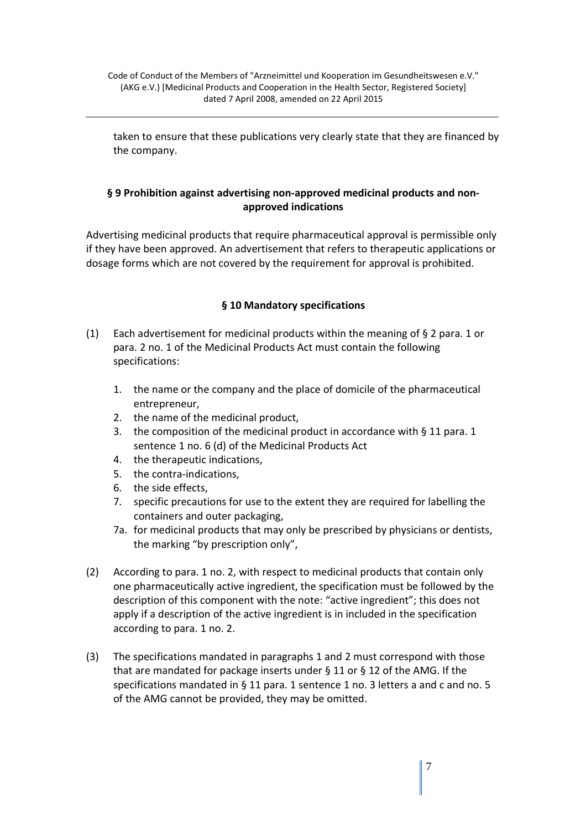taken to ensure that these publications very clearly state that they are financed by the company.

### **§ 9 Prohibition against advertising non-approved medicinal products and nonapproved indications**

Advertising medicinal products that require pharmaceutical approval is permissible only if they have been approved. An advertisement that refers to therapeutic applications or dosage forms which are not covered by the requirement for approval is prohibited.

## **§ 10 Mandatory specifications**

- (1) Each advertisement for medicinal products within the meaning of  $\S 2$  para. 1 or para. 2 no. 1 of the Medicinal Products Act must contain the following specifications:
	- 1. the name or the company and the place of domicile of the pharmaceutical entrepreneur,
	- 2. the name of the medicinal product,
	- 3. the composition of the medicinal product in accordance with § 11 para. 1 sentence 1 no. 6 (d) of the Medicinal Products Act
	- 4. the therapeutic indications,
	- 5. the contra-indications,
	- 6. the side effects,
	- 7. specific precautions for use to the extent they are required for labelling the containers and outer packaging,
	- 7a. for medicinal products that may only be prescribed by physicians or dentists, the marking "by prescription only",
- (2) According to para. 1 no. 2, with respect to medicinal products that contain only one pharmaceutically active ingredient, the specification must be followed by the description of this component with the note: "active ingredient"; this does not apply if a description of the active ingredient is in included in the specification according to para. 1 no. 2.
- (3) The specifications mandated in paragraphs 1 and 2 must correspond with those that are mandated for package inserts under § 11 or § 12 of the AMG. If the specifications mandated in § 11 para. 1 sentence 1 no. 3 letters a and c and no. 5 of the AMG cannot be provided, they may be omitted.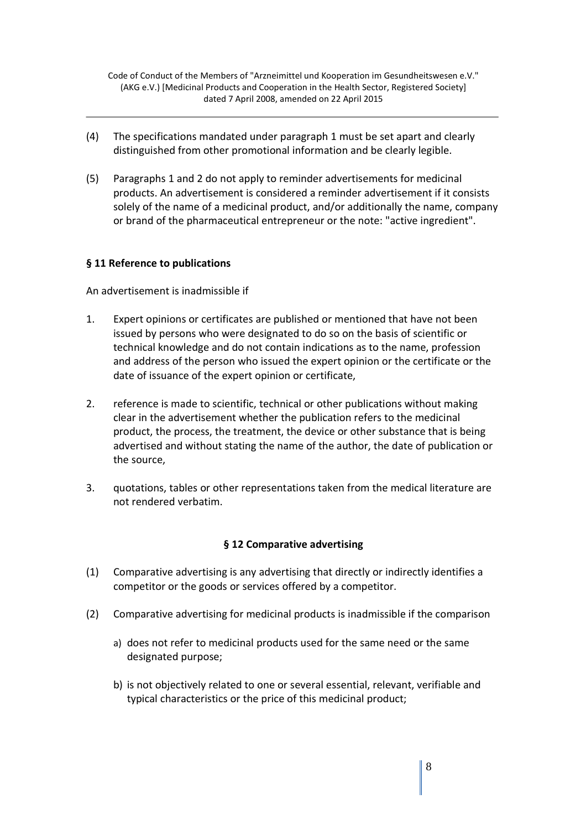- (4) The specifications mandated under paragraph 1 must be set apart and clearly distinguished from other promotional information and be clearly legible.
- (5) Paragraphs 1 and 2 do not apply to reminder advertisements for medicinal products. An advertisement is considered a reminder advertisement if it consists solely of the name of a medicinal product, and/or additionally the name, company or brand of the pharmaceutical entrepreneur or the note: "active ingredient".

#### **§ 11 Reference to publications**

An advertisement is inadmissible if

- 1. Expert opinions or certificates are published or mentioned that have not been issued by persons who were designated to do so on the basis of scientific or technical knowledge and do not contain indications as to the name, profession and address of the person who issued the expert opinion or the certificate or the date of issuance of the expert opinion or certificate,
- 2. reference is made to scientific, technical or other publications without making clear in the advertisement whether the publication refers to the medicinal product, the process, the treatment, the device or other substance that is being advertised and without stating the name of the author, the date of publication or the source,
- 3. quotations, tables or other representations taken from the medical literature are not rendered verbatim.

#### **§ 12 Comparative advertising**

- (1) Comparative advertising is any advertising that directly or indirectly identifies a competitor or the goods or services offered by a competitor.
- (2) Comparative advertising for medicinal products is inadmissible if the comparison
	- a) does not refer to medicinal products used for the same need or the same designated purpose;
	- b) is not objectively related to one or several essential, relevant, verifiable and typical characteristics or the price of this medicinal product;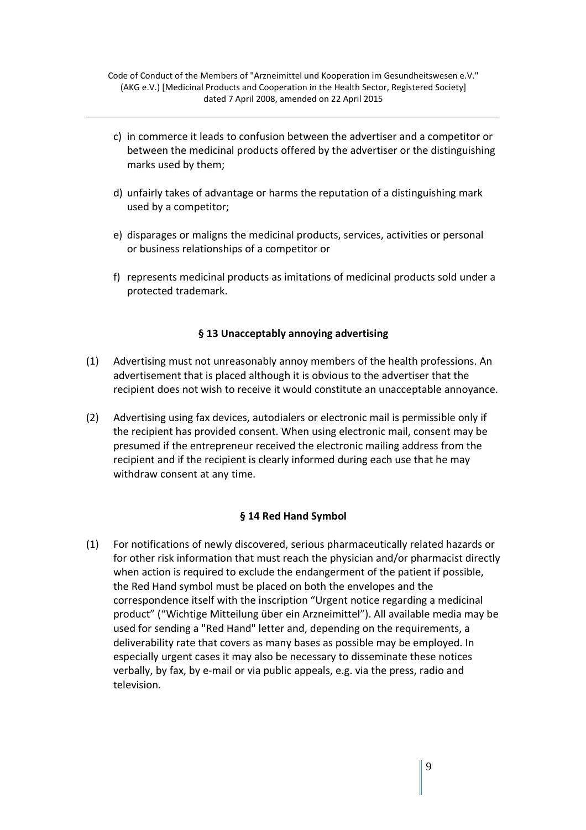- c) in commerce it leads to confusion between the advertiser and a competitor or between the medicinal products offered by the advertiser or the distinguishing marks used by them;
- d) unfairly takes of advantage or harms the reputation of a distinguishing mark used by a competitor;
- e) disparages or maligns the medicinal products, services, activities or personal or business relationships of a competitor or
- f) represents medicinal products as imitations of medicinal products sold under a protected trademark.

### **§ 13 Unacceptably annoying advertising**

- (1) Advertising must not unreasonably annoy members of the health professions. An advertisement that is placed although it is obvious to the advertiser that the recipient does not wish to receive it would constitute an unacceptable annoyance.
- (2) Advertising using fax devices, autodialers or electronic mail is permissible only if the recipient has provided consent. When using electronic mail, consent may be presumed if the entrepreneur received the electronic mailing address from the recipient and if the recipient is clearly informed during each use that he may withdraw consent at any time.

#### **§ 14 Red Hand Symbol**

(1) For notifications of newly discovered, serious pharmaceutically related hazards or for other risk information that must reach the physician and/or pharmacist directly when action is required to exclude the endangerment of the patient if possible, the Red Hand symbol must be placed on both the envelopes and the correspondence itself with the inscription "Urgent notice regarding a medicinal product" ("Wichtige Mitteilung über ein Arzneimittel"). All available media may be used for sending a "Red Hand" letter and, depending on the requirements, a deliverability rate that covers as many bases as possible may be employed. In especially urgent cases it may also be necessary to disseminate these notices verbally, by fax, by e-mail or via public appeals, e.g. via the press, radio and television.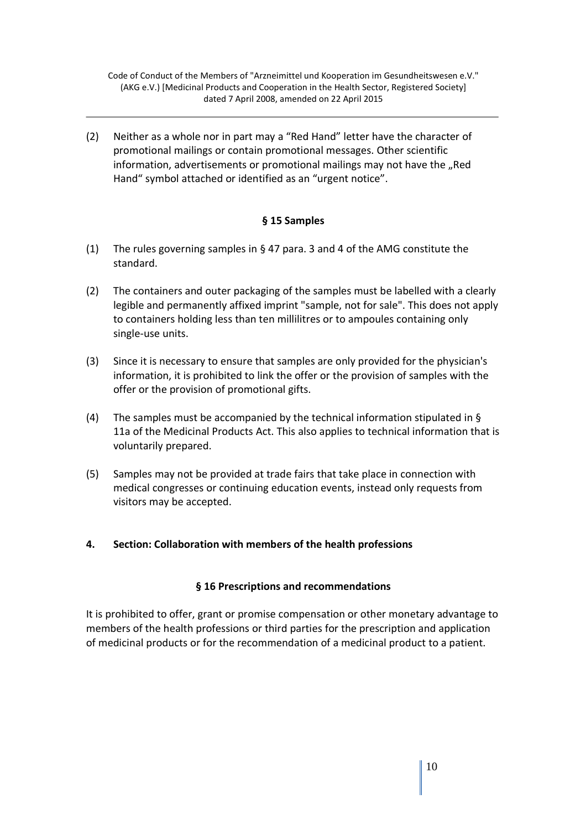(2) Neither as a whole nor in part may a "Red Hand" letter have the character of promotional mailings or contain promotional messages. Other scientific information, advertisements or promotional mailings may not have the "Red Hand" symbol attached or identified as an "urgent notice".

### **§ 15 Samples**

- (1) The rules governing samples in § 47 para. 3 and 4 of the AMG constitute the standard.
- (2) The containers and outer packaging of the samples must be labelled with a clearly legible and permanently affixed imprint "sample, not for sale". This does not apply to containers holding less than ten millilitres or to ampoules containing only single-use units.
- (3) Since it is necessary to ensure that samples are only provided for the physician's information, it is prohibited to link the offer or the provision of samples with the offer or the provision of promotional gifts.
- (4) The samples must be accompanied by the technical information stipulated in § 11a of the Medicinal Products Act. This also applies to technical information that is voluntarily prepared.
- (5) Samples may not be provided at trade fairs that take place in connection with medical congresses or continuing education events, instead only requests from visitors may be accepted.

#### **4. Section: Collaboration with members of the health professions**

#### **§ 16 Prescriptions and recommendations**

It is prohibited to offer, grant or promise compensation or other monetary advantage to members of the health professions or third parties for the prescription and application of medicinal products or for the recommendation of a medicinal product to a patient.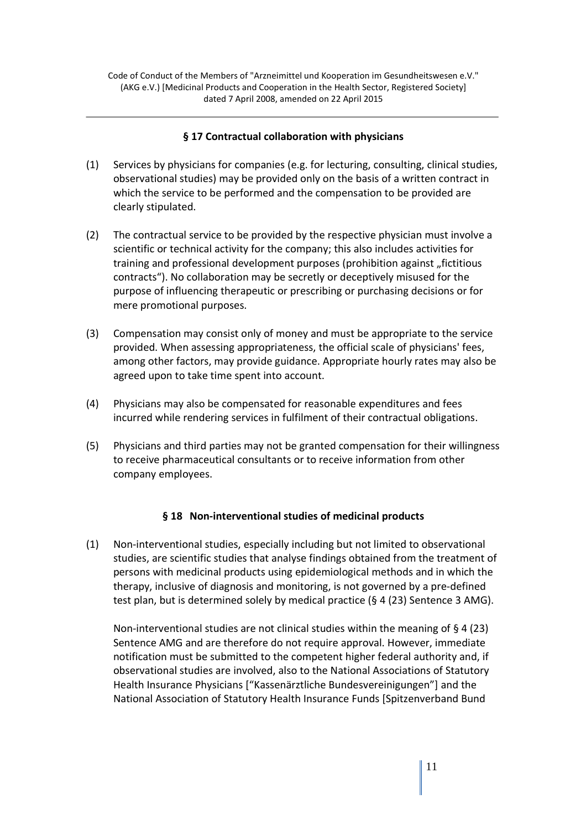#### **§ 17 Contractual collaboration with physicians**

- (1) Services by physicians for companies (e.g. for lecturing, consulting, clinical studies, observational studies) may be provided only on the basis of a written contract in which the service to be performed and the compensation to be provided are clearly stipulated.
- (2) The contractual service to be provided by the respective physician must involve a scientific or technical activity for the company; this also includes activities for training and professional development purposes (prohibition against "fictitious contracts"). No collaboration may be secretly or deceptively misused for the purpose of influencing therapeutic or prescribing or purchasing decisions or for mere promotional purposes.
- (3) Compensation may consist only of money and must be appropriate to the service provided. When assessing appropriateness, the official scale of physicians' fees, among other factors, may provide guidance. Appropriate hourly rates may also be agreed upon to take time spent into account.
- (4) Physicians may also be compensated for reasonable expenditures and fees incurred while rendering services in fulfilment of their contractual obligations.
- (5) Physicians and third parties may not be granted compensation for their willingness to receive pharmaceutical consultants or to receive information from other company employees.

#### **§ 18 Non-interventional studies of medicinal products**

(1) Non-interventional studies, especially including but not limited to observational studies, are scientific studies that analyse findings obtained from the treatment of persons with medicinal products using epidemiological methods and in which the therapy, inclusive of diagnosis and monitoring, is not governed by a pre-defined test plan, but is determined solely by medical practice (§ 4 (23) Sentence 3 AMG).

 Non-interventional studies are not clinical studies within the meaning of § 4 (23) Sentence AMG and are therefore do not require approval. However, immediate notification must be submitted to the competent higher federal authority and, if observational studies are involved, also to the National Associations of Statutory Health Insurance Physicians ["Kassenärztliche Bundesvereinigungen"] and the National Association of Statutory Health Insurance Funds [Spitzenverband Bund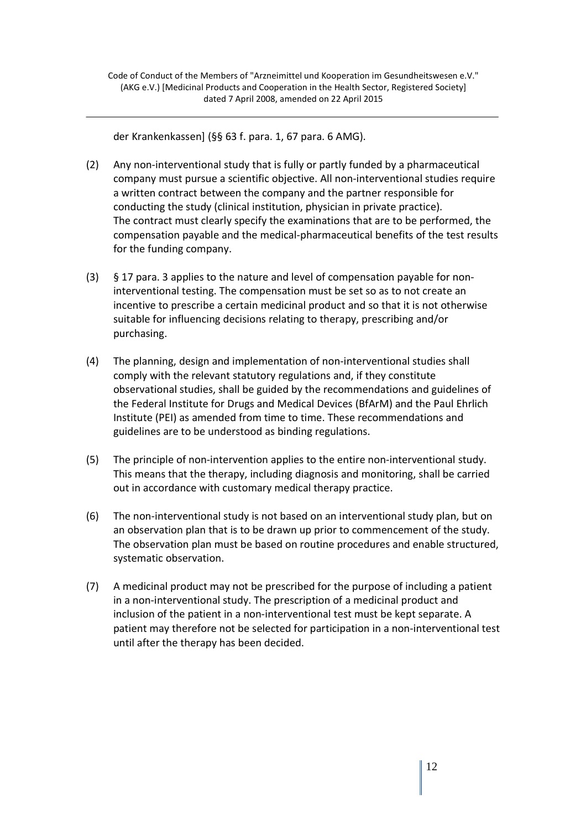der Krankenkassen] (§§ 63 f. para. 1, 67 para. 6 AMG).

- (2) Any non-interventional study that is fully or partly funded by a pharmaceutical company must pursue a scientific objective. All non-interventional studies require a written contract between the company and the partner responsible for conducting the study (clinical institution, physician in private practice). The contract must clearly specify the examinations that are to be performed, the compensation payable and the medical-pharmaceutical benefits of the test results for the funding company.
- (3) § 17 para. 3 applies to the nature and level of compensation payable for noninterventional testing. The compensation must be set so as to not create an incentive to prescribe a certain medicinal product and so that it is not otherwise suitable for influencing decisions relating to therapy, prescribing and/or purchasing.
- (4) The planning, design and implementation of non-interventional studies shall comply with the relevant statutory regulations and, if they constitute observational studies, shall be guided by the recommendations and guidelines of the Federal Institute for Drugs and Medical Devices (BfArM) and the Paul Ehrlich Institute (PEI) as amended from time to time. These recommendations and guidelines are to be understood as binding regulations.
- (5) The principle of non-intervention applies to the entire non-interventional study. This means that the therapy, including diagnosis and monitoring, shall be carried out in accordance with customary medical therapy practice.
- (6) The non-interventional study is not based on an interventional study plan, but on an observation plan that is to be drawn up prior to commencement of the study. The observation plan must be based on routine procedures and enable structured, systematic observation.
- (7) A medicinal product may not be prescribed for the purpose of including a patient in a non-interventional study. The prescription of a medicinal product and inclusion of the patient in a non-interventional test must be kept separate. A patient may therefore not be selected for participation in a non-interventional test until after the therapy has been decided.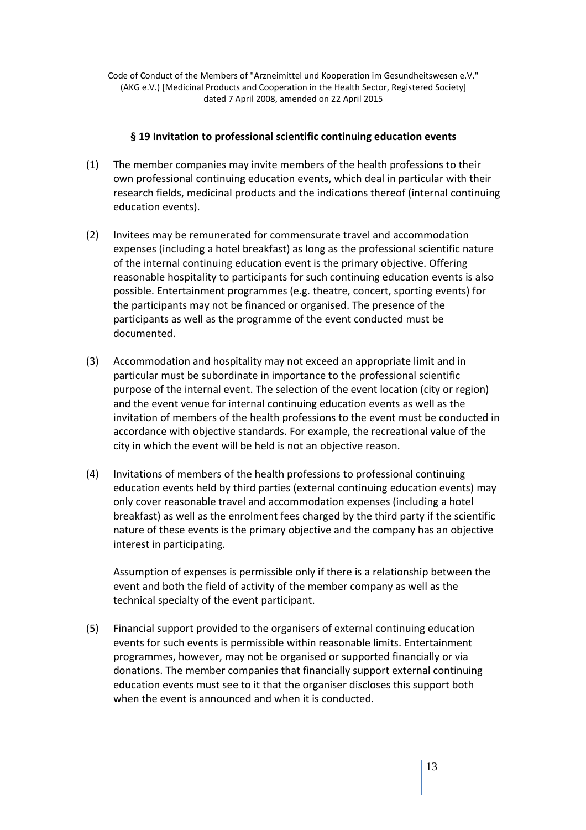#### **§ 19 Invitation to professional scientific continuing education events**

- (1) The member companies may invite members of the health professions to their own professional continuing education events, which deal in particular with their research fields, medicinal products and the indications thereof (internal continuing education events).
- (2) Invitees may be remunerated for commensurate travel and accommodation expenses (including a hotel breakfast) as long as the professional scientific nature of the internal continuing education event is the primary objective. Offering reasonable hospitality to participants for such continuing education events is also possible. Entertainment programmes (e.g. theatre, concert, sporting events) for the participants may not be financed or organised. The presence of the participants as well as the programme of the event conducted must be documented.
- (3) Accommodation and hospitality may not exceed an appropriate limit and in particular must be subordinate in importance to the professional scientific purpose of the internal event. The selection of the event location (city or region) and the event venue for internal continuing education events as well as the invitation of members of the health professions to the event must be conducted in accordance with objective standards. For example, the recreational value of the city in which the event will be held is not an objective reason.
- (4) Invitations of members of the health professions to professional continuing education events held by third parties (external continuing education events) may only cover reasonable travel and accommodation expenses (including a hotel breakfast) as well as the enrolment fees charged by the third party if the scientific nature of these events is the primary objective and the company has an objective interest in participating.

Assumption of expenses is permissible only if there is a relationship between the event and both the field of activity of the member company as well as the technical specialty of the event participant.

(5) Financial support provided to the organisers of external continuing education events for such events is permissible within reasonable limits. Entertainment programmes, however, may not be organised or supported financially or via donations. The member companies that financially support external continuing education events must see to it that the organiser discloses this support both when the event is announced and when it is conducted.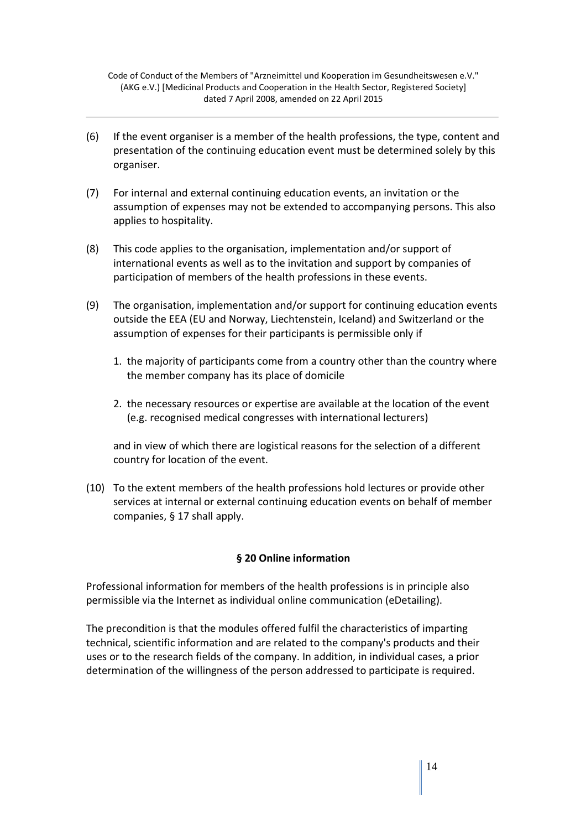- (6) If the event organiser is a member of the health professions, the type, content and presentation of the continuing education event must be determined solely by this organiser.
- (7) For internal and external continuing education events, an invitation or the assumption of expenses may not be extended to accompanying persons. This also applies to hospitality.
- (8) This code applies to the organisation, implementation and/or support of international events as well as to the invitation and support by companies of participation of members of the health professions in these events.
- (9) The organisation, implementation and/or support for continuing education events outside the EEA (EU and Norway, Liechtenstein, Iceland) and Switzerland or the assumption of expenses for their participants is permissible only if
	- 1. the majority of participants come from a country other than the country where the member company has its place of domicile
	- 2. the necessary resources or expertise are available at the location of the event (e.g. recognised medical congresses with international lecturers)

 and in view of which there are logistical reasons for the selection of a different country for location of the event.

(10) To the extent members of the health professions hold lectures or provide other services at internal or external continuing education events on behalf of member companies, § 17 shall apply.

#### **§ 20 Online information**

Professional information for members of the health professions is in principle also permissible via the Internet as individual online communication (eDetailing).

The precondition is that the modules offered fulfil the characteristics of imparting technical, scientific information and are related to the company's products and their uses or to the research fields of the company. In addition, in individual cases, a prior determination of the willingness of the person addressed to participate is required.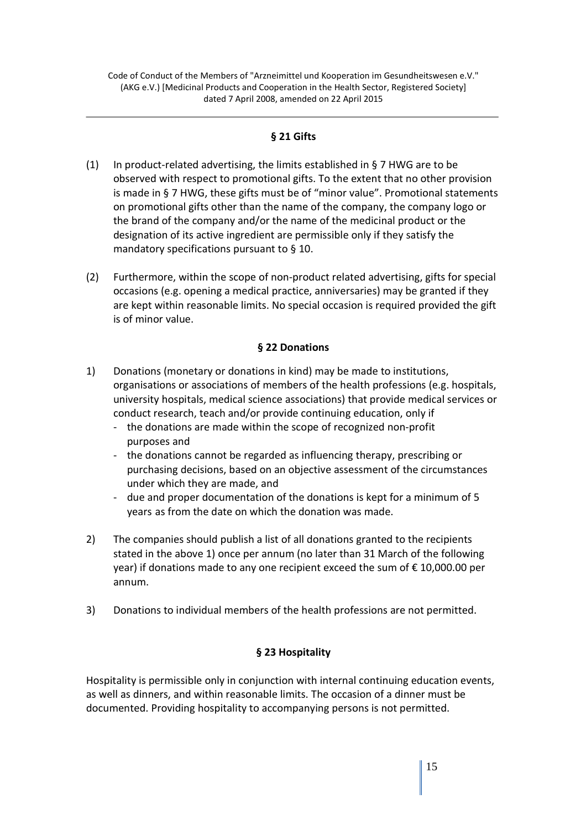### **§ 21 Gifts**

- (1) In product-related advertising, the limits established in § 7 HWG are to be observed with respect to promotional gifts. To the extent that no other provision is made in § 7 HWG, these gifts must be of "minor value". Promotional statements on promotional gifts other than the name of the company, the company logo or the brand of the company and/or the name of the medicinal product or the designation of its active ingredient are permissible only if they satisfy the mandatory specifications pursuant to § 10.
- (2) Furthermore, within the scope of non-product related advertising, gifts for special occasions (e.g. opening a medical practice, anniversaries) may be granted if they are kept within reasonable limits. No special occasion is required provided the gift is of minor value.

#### **§ 22 Donations**

- 1) Donations (monetary or donations in kind) may be made to institutions, organisations or associations of members of the health professions (e.g. hospitals, university hospitals, medical science associations) that provide medical services or conduct research, teach and/or provide continuing education, only if
	- the donations are made within the scope of recognized non-profit purposes and
	- the donations cannot be regarded as influencing therapy, prescribing or purchasing decisions, based on an objective assessment of the circumstances under which they are made, and
	- due and proper documentation of the donations is kept for a minimum of 5 years as from the date on which the donation was made.
- 2) The companies should publish a list of all donations granted to the recipients stated in the above 1) once per annum (no later than 31 March of the following year) if donations made to any one recipient exceed the sum of € 10,000.00 per annum.
- 3) Donations to individual members of the health professions are not permitted.

#### **§ 23 Hospitality**

Hospitality is permissible only in conjunction with internal continuing education events, as well as dinners, and within reasonable limits. The occasion of a dinner must be documented. Providing hospitality to accompanying persons is not permitted.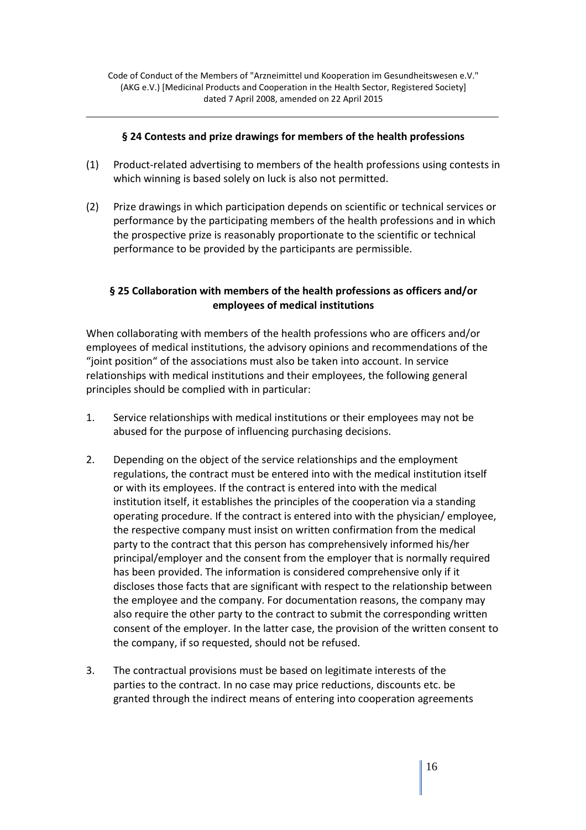#### **§ 24 Contests and prize drawings for members of the health professions**

- (1) Product-related advertising to members of the health professions using contests in which winning is based solely on luck is also not permitted.
- (2) Prize drawings in which participation depends on scientific or technical services or performance by the participating members of the health professions and in which the prospective prize is reasonably proportionate to the scientific or technical performance to be provided by the participants are permissible.

## **§ 25 Collaboration with members of the health professions as officers and/or employees of medical institutions**

When collaborating with members of the health professions who are officers and/or employees of medical institutions, the advisory opinions and recommendations of the "joint position" of the associations must also be taken into account. In service relationships with medical institutions and their employees, the following general principles should be complied with in particular:

- 1. Service relationships with medical institutions or their employees may not be abused for the purpose of influencing purchasing decisions.
- 2. Depending on the object of the service relationships and the employment regulations, the contract must be entered into with the medical institution itself or with its employees. If the contract is entered into with the medical institution itself, it establishes the principles of the cooperation via a standing operating procedure. If the contract is entered into with the physician/ employee, the respective company must insist on written confirmation from the medical party to the contract that this person has comprehensively informed his/her principal/employer and the consent from the employer that is normally required has been provided. The information is considered comprehensive only if it discloses those facts that are significant with respect to the relationship between the employee and the company. For documentation reasons, the company may also require the other party to the contract to submit the corresponding written consent of the employer. In the latter case, the provision of the written consent to the company, if so requested, should not be refused.
- 3. The contractual provisions must be based on legitimate interests of the parties to the contract. In no case may price reductions, discounts etc. be granted through the indirect means of entering into cooperation agreements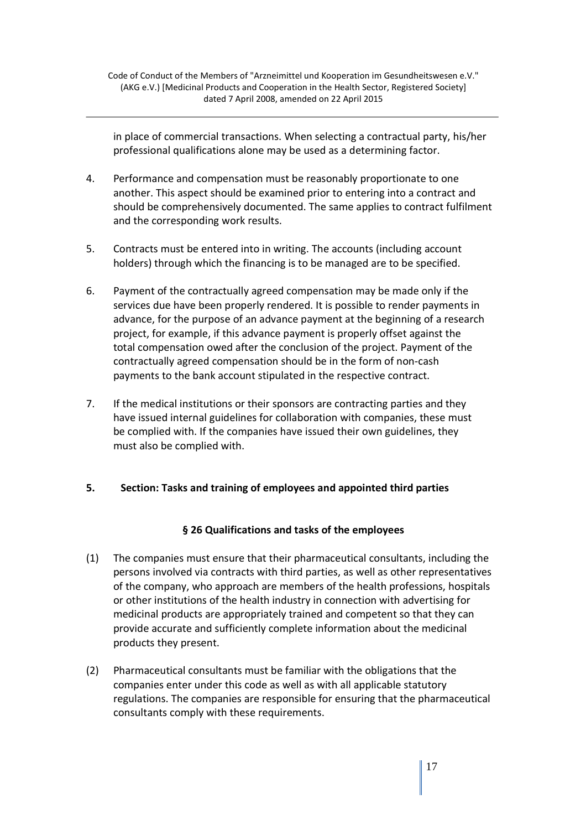in place of commercial transactions. When selecting a contractual party, his/her professional qualifications alone may be used as a determining factor.

- 4. Performance and compensation must be reasonably proportionate to one another. This aspect should be examined prior to entering into a contract and should be comprehensively documented. The same applies to contract fulfilment and the corresponding work results.
- 5. Contracts must be entered into in writing. The accounts (including account holders) through which the financing is to be managed are to be specified.
- 6. Payment of the contractually agreed compensation may be made only if the services due have been properly rendered. It is possible to render payments in advance, for the purpose of an advance payment at the beginning of a research project, for example, if this advance payment is properly offset against the total compensation owed after the conclusion of the project. Payment of the contractually agreed compensation should be in the form of non-cash payments to the bank account stipulated in the respective contract.
- 7. If the medical institutions or their sponsors are contracting parties and they have issued internal guidelines for collaboration with companies, these must be complied with. If the companies have issued their own guidelines, they must also be complied with.

## **5. Section: Tasks and training of employees and appointed third parties**

## **§ 26 Qualifications and tasks of the employees**

- (1) The companies must ensure that their pharmaceutical consultants, including the persons involved via contracts with third parties, as well as other representatives of the company, who approach are members of the health professions, hospitals or other institutions of the health industry in connection with advertising for medicinal products are appropriately trained and competent so that they can provide accurate and sufficiently complete information about the medicinal products they present.
- (2) Pharmaceutical consultants must be familiar with the obligations that the companies enter under this code as well as with all applicable statutory regulations. The companies are responsible for ensuring that the pharmaceutical consultants comply with these requirements.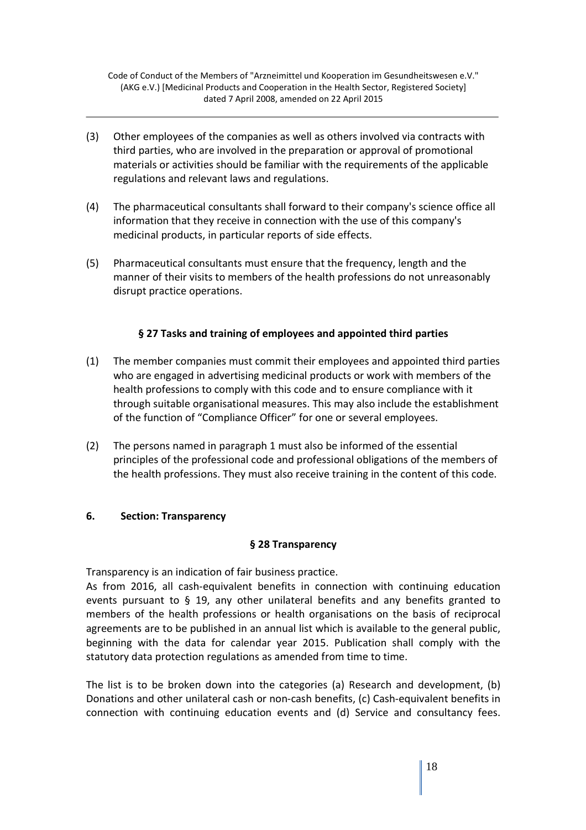- (3) Other employees of the companies as well as others involved via contracts with third parties, who are involved in the preparation or approval of promotional materials or activities should be familiar with the requirements of the applicable regulations and relevant laws and regulations.
- (4) The pharmaceutical consultants shall forward to their company's science office all information that they receive in connection with the use of this company's medicinal products, in particular reports of side effects.
- (5) Pharmaceutical consultants must ensure that the frequency, length and the manner of their visits to members of the health professions do not unreasonably disrupt practice operations.

# **§ 27 Tasks and training of employees and appointed third parties**

- (1) The member companies must commit their employees and appointed third parties who are engaged in advertising medicinal products or work with members of the health professions to comply with this code and to ensure compliance with it through suitable organisational measures. This may also include the establishment of the function of "Compliance Officer" for one or several employees.
- (2) The persons named in paragraph 1 must also be informed of the essential principles of the professional code and professional obligations of the members of the health professions. They must also receive training in the content of this code.

## **6. Section: Transparency**

## **§ 28 Transparency**

Transparency is an indication of fair business practice.

As from 2016, all cash-equivalent benefits in connection with continuing education events pursuant to § 19, any other unilateral benefits and any benefits granted to members of the health professions or health organisations on the basis of reciprocal agreements are to be published in an annual list which is available to the general public, beginning with the data for calendar year 2015. Publication shall comply with the statutory data protection regulations as amended from time to time.

The list is to be broken down into the categories (a) Research and development, (b) Donations and other unilateral cash or non-cash benefits, (c) Cash-equivalent benefits in connection with continuing education events and (d) Service and consultancy fees.